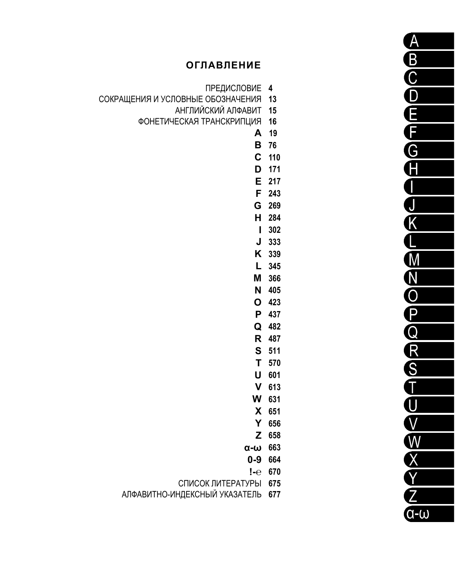# **ОГЛАВЛЕНИЕ**

- ПРЕДИСЛОВИЕ 4
- СОКРАЩЕНИЯ И УСЛОВНЫЕ ОБОЗНАЧЕНИЯ 13
	- АНГЛИЙСКИЙ АЛФАВИТ 15
	- ФОНЕТИЧЕСКАЯ ТРАНСКРИПЦИЯ 16
		- A 19
		- **B** 76
		- $C$  110 D 171
		- E 217
		- F 243
		- G 269 H 284
		- $1302$
		- $J$  333
		- K 339
		- L 345 M 366
		- N 405
		- O 423
		- P 437 Q 482
		- R 487
		- S 511
		- T 570 U 601
		- $V$  613
		- W 631
		- X 651
		- Y 656
		- Z 658
		- $\alpha$ - $\omega$  663
		- 0-9 664
		- $! -e$  670
		- СПИСОК ЛИТЕРАТУРЫ 675
	- АЛФАВИТНО-ИНДЕКСНЫЙ УКАЗАТЕЛЬ 677

 $\overline{\mathsf{A}}$ BCDEFG Ā I J  $\overline{\mathsf{K}}$ OZE  $\overline{\mathbf{P}}$ NKREAGOOOO  $Q-U$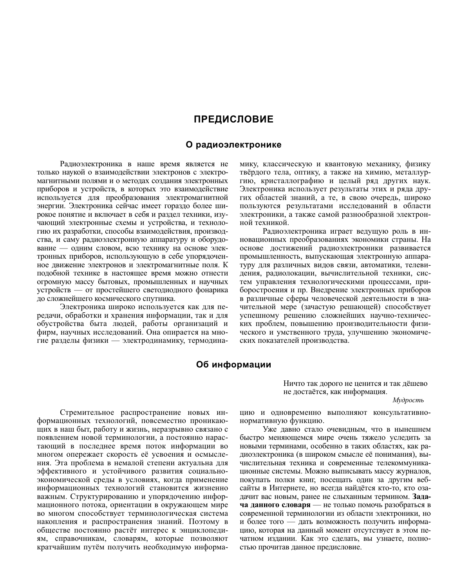# **ПРЕДИСЛОВИЕ**

### О радиоэлектронике

Радиоэлектроника в наше время является не только наукой о взаимодействии электронов с электромагнитными полями и о методах создания электронных приборов и устройств, в которых это взаимодействие используется для преобразования электромагнитной энергии. Электроника сейчас имеет гораздо более широкое понятие и включает в себя и раздел техники, изучающий электронные схемы и устройства, и технологию их разработки, способы взаимодействия, производства, и саму радиоэлектронную аппаратуру и оборудование - одним словом, всю технику на основе электронных приборов, использующую в себе упорядоченное движение электронов и электромагнитные поля. К подобной технике в настоящее время можно отнести огромную массу бытовых, промышленных и научных устройств — от простейшего светодиодного фонарика до сложнейшего космического спутника.

Электроника широко используется как для передачи, обработки и хранения информации, так и для обустройства быта людей, работы организаций и фирм, научных исследований. Она опирается на многие разделы физики — электродинамику, термодинамику, классическую и квантовую механику, физику твёрдого тела, оптику, а также на химию, металлургию, кристаллографию и целый ряд других наук. Электроника использует результаты этих и ряда других областей знаний, а те, в свою очередь, широко пользуются результатами исследований в области электроники, а также самой разнообразной электронной техникой.

Радиоэлектроника играет ведущую роль в инновационных преобразованиях экономики страны. На основе достижений радиоэлектроники развивается промышленность, выпускающая электронную аппаратуру для различных видов связи, автоматики, телевидения, радиолокации, вычислительной техники, систем управления технологическими процессами, приборостроения и пр. Внедрение электронных приборов в различные сферы человеческой деятельности в значительной мере (зачастую решающей) способствует успешному решению сложнейших научно-технических проблем, повышению производительности физического и умственного труда, улучшению экономических показателей производства.

# Об информации

Стремительное распространение новых информационных технологий, повсеместно проникающих в наш быт, работу и жизнь, неразрывно связано с появлением новой терминологии, а постоянно нарастающий в последнее время поток информации во многом опережает скорость её усвоения и осмысления. Эта проблема в немалой степени актуальна для эффективного и устойчивого развития социальноэкономической среды в условиях, когда применение информационных технологий становится жизненно важным. Структурированию и упорядочению информационного потока, ориентации в окружающем мире во многом способствует терминологическая система накопления и распространения знаний. Поэтому в обществе постоянно растёт интерес к энциклопедиям, справочникам, словарям, которые позволяют кратчайшим путём получить необходимую информаНичто так дорого не ценится и так дёшево не достаётся, как информация.

Мудрость

цию и одновременно выполняют консультативнонормативную функцию.

Уже давно стало очевидным, что в нынешнем быстро меняющемся мире очень тяжело уследить за новыми терминами, особенно в таких областях, как радиоэлектроника (в широком смысле её понимания), вычислительная техника и современные телекоммуникационные системы. Можно выписывать массу журналов, покупать полки книг, посещать один за другим вебсайты в Интернете, но всегда найдётся кто-то, кто озадачит вас новым, ранее не слыханным термином. Задача данного словаря — не только помочь разобраться в современной терминологии из области электроники, но и более того — дать возможность получить информацию, которая на данный момент отсутствует в этом печатном издании. Как это сделать, вы узнаете, полностью прочитав данное предисловие.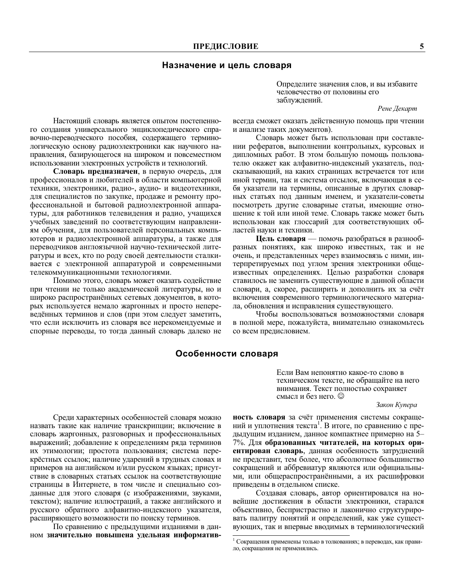## Назначение и цель словаря

Определите значения слов, и вы избавите человечество от половины его заблуждений.

#### Рене Декарт

Настоящий словарь является опытом постепенного создания универсального энциклопедического справочно-переводческого пособия, содержащего терминологическую основу радиоэлектроники как научного направления, базирующегося на широком и повсеместном использовании электронных устройств и технологий.

Словарь предназначен, в первую очередь, для профессионалов и любителей в области компьютерной техники, электроники, радио-, аудио- и видеотехники, для специалистов по закупке, продаже и ремонту профессиональной и бытовой радиоэлектронной аппаратуры, для работников телевидения и радио, учащихся учебных заведений по соответствующим направлениям обучения, для пользователей персональных компьютеров и радиоэлектронной аппаратуры, а также для переводчиков англоязычной научно-технической литературы и всех, кто по роду своей деятельности сталкивается с электронной аппаратурой и современными телекоммуникационными технологиями.

Помимо этого, словарь может оказать содействие при чтении не только академической литературы, но и широко распространённых сетевых документов, в которых используется немало жаргонных и просто непереведённых терминов и слов (при этом следует заметить, что если исключить из словаря все нерекомендуемые и спорные переводы, то тогда данный словарь далеко не

всегда сможет оказать действенную помощь при чтении и анализе таких документов).

Словарь может быть использован при составлении рефератов, выполнении контрольных, курсовых и дипломных работ. В этом большую помощь пользователю окажет как алфавитно-индексный указатель, подсказывающий, на каких страницах встречается тот или иной термин, так и система отсылок, включающая в себя указатели на термины, описанные в других словарных статьях под данным именем, и указатели-советы посмотреть другие словарные статьи, имеющие отношение к той или иной теме. Словарь также может быть использован как глоссарий для соответствующих областей науки и техники.

Цель словаря — помочь разобраться в разнообразных понятиях, как широко известных, так и не очень, и представленных через взаимосвязь с ними, интерпретируемых под углом зрения электроники общеизвестных определениях. Целью разработки словаря ставилось не заменить существующие в данной области словари, а, скорее, расширить и дополнить их за счёт включения современного терминологического материала, обновления и исправления существующего.

Чтобы воспользоваться возможностями словаря в полной мере, пожалуйста, внимательно ознакомьтесь со всем предисловием.

# Особенности словаря

Если Вам непонятно какое-то слово в техническом тексте, не обращайте на него внимания. Текст полностью сохраняет смысл и без него. ©

Закон Купера

Среди характерных особенностей словаря можно назвать такие как наличие транскрипции; включение в словарь жаргонных, разговорных и профессиональных выражений; добавление к определениям ряда терминов их этимологии; простота пользования; система перекрёстных ссылок; наличие ударений в трудных словах и примеров на английском и/или русском языках; присутствие в словарных статьях ссылок на соответствующие страницы в Интернете, в том числе и специально созданные для этого словаря (с изображениями, звуками, текстом); наличие иллюстраций, а также английского и русского обратного алфавитно-индексного указателя, расширяющего возможности по поиску терминов.

По сравнению с предыдущими изданиями в данном значительно повышена удельная информатив-

ность словаря за счёт применения системы сокращений и уплотнения текста<sup>1</sup>. В итоге, по сравнению с предыдущим изданием, данное компактнее примерно на 5-7%. Для образованных читателей, на которых ориентирован словарь, данная особенность затруднений не представит, тем более, что абсолютное большинство сокращений и аббревиатур являются или официальными, или общераспространёнными, а их расшифровки приведены в отдельном списке.

Создавая словарь, автор ориентировался на новейшие достижения в области электроники, старался объективно, беспристрастно и лаконично структурировать палитру понятий и определений, как уже существующих, так и впервые вводимых в терминологический

 $^{1}$  Сокращения применены только в толкованиях; в переводах, как правило, сокращения не применялись.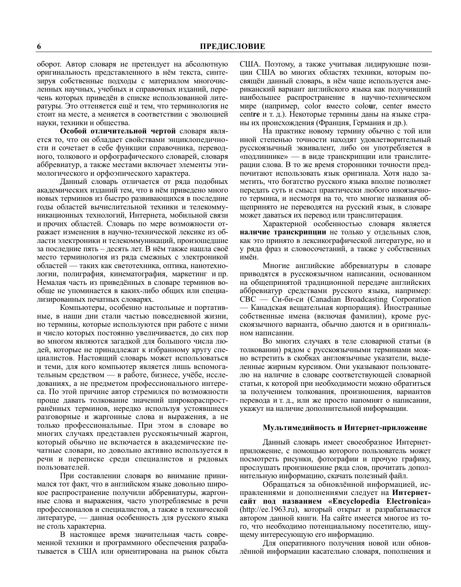оборот. Автор словаря не претендует на абсолютную оригинальность представленного в нём текста, синтезируя собственные подходы с материалом многочисленных научных, учебных и справочных изданий, перечень которых приведён в списке использованной литературы. Это оттеняется ещё и тем, что терминология не стоит на месте, а меняется в соответствии с эволюцией науки, техники и общества.

Особой отличительной чертой словаря является то, что он обладает свойствами энциклопедичности и сочетает в себе функции справочника, переводного, толкового и орфографического словарей, словаря аббревиатур, а также местами включает элементы этимологического и орфоэпического характера.

Данный словарь отличается от ряда подобных академических изданий тем, что в нём приведено много новых терминов из быстро развивающихся в последние годы областей вычислительной техники и телекоммуникационных технологий, Интернета, мобильной связи и прочих областей. Словарь по мере возможности отражает изменения в научно-технической лексике из области электроники и телекоммуникаций, произошедшие за последние пять - десять лет. В нём также нашла своё место терминология из ряда смежных с электроникой областей — таких как светотехника, оптика, нанотехнологии, полиграфия, кинематография, маркетинг и пр. Немалая часть из приведённых в словаре терминов вообще не упоминается в каких-либо общих или специализированных печатных словарях.

Компьютеры, особенно настольные и портативные, в наши дни стали частью повседневной жизни, но термины, которые используются при работе с ними и число которых постоянно увеличивается, до сих пор во многом являются загадкой для большого числа людей, которые не принадлежат к избранному кругу специалистов. Настоящий словарь может использоваться и теми, для кого компьютер является лишь вспомогательным средством — в работе, бизнесе, учёбе, исследованиях, а не предметом профессионального интереса. По этой причине автор стремился по возможности проще давать толкование значений широкораспространённых терминов, нередко используя устоявшиеся разговорные и жаргонные слова и выражения, а не только профессиональные. При этом в словаре во многих случаях представлен русскоязычный жаргон, который обычно не включается в академические печатные словари, но довольно активно используется в речи и переписке среди специалистов и рядовых пользователей.

При составлении словаря во внимание принимался тот факт, что в английском языке довольно широкое распространение получили аббревиатуры, жаргонные слова и выражения, часто употребляемые в речи профессионалов и специалистов, а также в технической литературе, - данная особенность для русского языка не столь характерна.

В настоящее время значительная часть современной техники и программного обеспечения разрабатывается в США или ориентирована на рынок сбыта США. Поэтому, а также учитывая лидирующие позиции США во многих областях техники, которым посвящён данный словарь, в нём чаще используется американский вариант английского языка как получивший наибольшее распространение в научно-техническом мире (например, color вместо colour, center вместо centre и т. д.). Некоторые термины даны на языке страны их происхождения (Франция, Германия и др.).

На практике новому термину обычно с той или иной степенью точности находят удовлетворительный русскоязычный эквивалент, либо он употребляется в «подлиннике» - в виде транскрипции или транслитерации слова. В то же время сторонники точности предпочитают использовать язык оригинала. Хотя надо заметить, что богатство русского языка вполне позволяет передать суть и смысл практически любого иноязычного термина, и несмотря на то, что многие названия общепринято не переводятся на русский язык, в словаре может даваться их перевод или транслитерация.

Характерной особенностью словаря является наличие транскрипции не только у отдельных слов, как это принято в лексикографической литературе, но и у ряда фраз и словосочетаний, а также у собственных имён.

Многие английские аббревиатуры в словаре приводятся в русскоязычном написании, основанном на общепринятой традиционной передаче английских аббревиатур средствами русского языка, например:  $CBC - Cu$ - $Gu$ - $cu$  (Canadian Broadcasting Corporation — Канадская вещательная корпорация). Иностранные собственные имена (включая фамилии), кроме русскоязычного варианта, обычно даются и в оригинальном написании.

Во многих случаях в теле словарной статьи (в толковании) рядом с русскоязычными терминами можно встретить в скобках англоязычные указатели, выделенные жирным курсивом. Они указывают пользователю на наличие в словаре соответствующей словарной статьи, к которой при необходимости можно обратиться за получением толкования, произношения, вариантов перевода и т. д., или же просто напомнят о написании, укажут на наличие дополнительной информации.

#### Мультимедийность и Интернет-приложение

Данный словарь имеет своеобразное Интернетприложение, с помощью которого пользователь может посмотреть рисунки, фотографии и прочую графику, прослушать произношение ряда слов, прочитать дополнительную информацию, скачать полезный файл.

Обращаться за обновлённой информацией, исправлениями и дополнениями следует на Интернетсайт под названием «Encyclopedia Electronica» (http://ee.1963.ru), который открыт и разрабатывается автором данной книги. На сайте имеется многое из того, что необходимо потенциальному посетителю, ищущему интересующую его информацию.

Для оперативного получения новой или обновлённой информации касательно словаря, пополнения и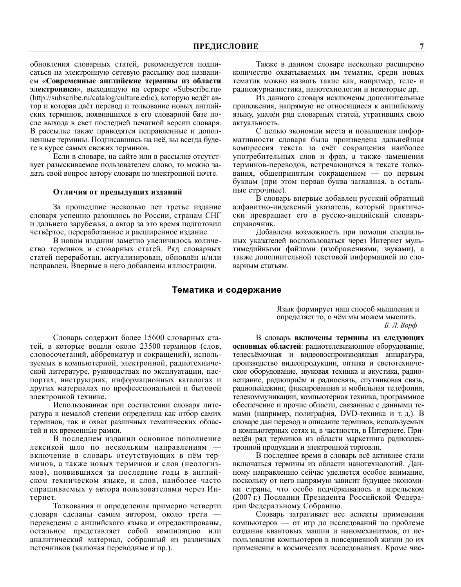обновления словарных статей, рекомендуется подписаться на электронную сетевую рассылку под названием «Современные английские термины из области **электроники**», выходящую на сервере «Subscribe.ru» (http://subscribe.ru/catalog/culture.edic), которую ведёт автор и которая даёт перевод и толкование новых английских терминов, появившихся в его словарной базе после выхода в свет последней печатной версии словаря. В рассылке также приводятся исправленные и дополненные термины. Подписавшись на неё, вы всегда будете в курсе самых свежих терминов.

Если в словаре, на сайте или в рассылке отсутствует разыскиваемое пользователем слово, то можно задать свой вопрос автору словаря по электронной почте.

#### Отличия от предыдущих изданий

За прошедшие несколько лет третье издание словаря успешно разошлось по России, странам СНГ и дальнего зарубежья, а автор за это время подготовил четвёртое, переработанное и расширенное издание.

В новом издании заметно увеличилось количество терминов и словарных статей. Ряд словарных статей переработан, актуализирован, обновлён и/или исправлен. Впервые в него добавлены иллюстрации.

Также в данном словаре несколько расширено количество охватываемых им тематик, среди новых тематик можно назвать такие как, например, теле- и радиожурналистика, нанотехнологии и некоторые др.

Из данного словаря исключены дополнительные приложения, напрямую не относящиеся к английскому языку, удалён ряд словарных статей, утративших свою актуальность.

С целью экономии места и повышения информативности словаря была произведена дальнейшая компрессия текста за счёт сокращения наиболее употребительных слов и фраз, а также замещения терминов-переводов, встречающихся в тексте толкования, общепринятым сокращением — по первым буквам (при этом первая буква заглавная, а остальные строчные).

В словарь впервые добавлен русский обратный алфавитно-индексный указатель, который практически превращает его в русско-английский словарьсправочник.

Добавлена возможность при помощи специальных указателей воспользоваться через Интернет мультимедийными файлами (изображениями, звуками), а также дополнительной текстовой информацией по словарным статьям.

#### Тематика и содержание

Словарь содержит более 15600 словарных статей, в которые вошли около 23500 терминов (слов, словосочетаний, аббревиатур и сокращений), используемых в компьютерной, электронной, радиотехнической литературе, руководствах по эксплуатации, паспортах, инструкциях, информационных каталогах и других материалах по профессиональной и бытовой электронной технике.

Использованная при составлении словаря литература в немалой степени определила как отбор самих терминов, так и охват различных тематических областей и их временные рамки.

В последнем издании основное пополнение лексикой шло по нескольким направлениям включение в словарь отсутствующих в нём терминов, а также новых терминов и слов (неологизмов), появившихся за последние годы в английском техническом языке, и слов, наиболее часто спрашиваемых у автора пользователями через Интернет.

Толкования и определения примерно четверти словаря сделаны самим автором, около трети переведены с английского языка и отредактированы, остальное представляет собой компиляцию или аналитический материал, собранный из различных источников (включая переводные и пр.).

Язык формирует наш способ мышления и определяет то, о чём мы можем мыслить.  $E.$  Л. Ворф

В словарь включены термины из следующих основных областей: радиотелевизионное оборудование, телесъёмочная и видеовоспроизводящая аппаратура, производство видеопродукции, оптика и светотехническое оборудование, звуковая техника и акустика, радиовещание, радиоприём и радиосвязь, спутниковая связь, радиопейджинг, фиксированная и мобильная телефония, телекоммуникации, компьютерная техника, программное обеспечение и прочие области, связанные с данными темами (например, полиграфия, DVD-техника и т. д.). В словаре дан перевод и описание терминов, используемых в компьютерных сетях и, в частности, в Интернете. Приведён ряд терминов из области маркетинга радиоэлектронной продукции и электронной торговли.

В последнее время в словарь всё активнее стали включаться термины из области нанотехнологий. Данному направлению сейчас уделяется особое внимание, поскольку от него напрямую зависит будущее экономики страны, что особо подчёркивалось в апрельском (2007 г.) Послании Президента Российской Федерации Федеральному Собранию.

Словарь затрагивает все аспекты применения компьютеров - от игр до исследований по проблеме создания квантовых машин и наномеханизмов, от использования компьютеров в повседневной жизни до их применения в космических исследованиях. Кроме чис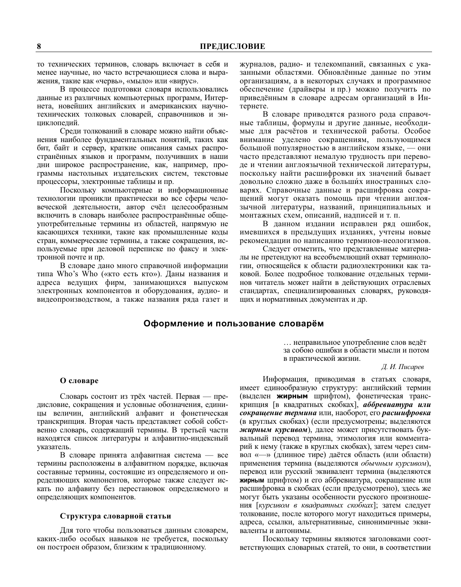то технических терминов, словарь включает в себя и менее научные, но часто встречающиеся слова и выражения, такие как «червь», «мыло» или «вирус».

В процессе подготовки словаря использовались данные из различных компьютерных программ, Интернета, новейших английских и американских научнотехнических толковых словарей, справочников и энциклопелий.

Среди толкований в словаре можно найти объяснения наиболее фундаментальных понятий, таких как бит, байт и сервер, краткие описания самых распространённых языков и программ, получивших в наши дни широкое распространение, как, например, программы настольных издательских систем, текстовые процессоры, электронные таблицы и пр.

Поскольку компьютерные и информационные технологии проникли практически во все сферы человеческой деятельности, автор счёл целесообразным включить в словарь наиболее распространённые общеупотребительные термины из областей, напрямую не касающихся техники, такие как промышленные коды стран, коммерческие термины, а также сокращения, используемые при деловой переписке по факсу и электронной почте и пр.

В словаре дано много справочной информации типа Who's Who («кто есть кто»). Даны названия и адреса ведущих фирм, занимающихся выпуском электронных компонентов и оборудования, аудио- и видеопроизводством, а также названия ряда газет и журналов, радио- и телекомпаний, связанных с указанными областями. Обновлённые данные по этим организациям, а в некоторых случаях и программное обеспечение (драйверы и пр.) можно получить по приведённым в словаре адресам организаций в Интернете.

В словаре приводятся разного рода справочные таблицы, формулы и другие данные, необходимые для расчётов и технической работы. Особое внимание уделено сокращениям, пользующимся большой популярностью в английском языке, - они часто представляют немалую трудность при переводе и чтении англоязычной технической литературы, поскольку найти расшифровки их значений бывает довольно сложно даже в больших иностранных словарях. Справочные данные и расшифровка сокращений могут оказать помощь при чтении англоязычной литературы, названий, принципиальных и монтажных схем, описаний, надписей и т. п.

В данном издании исправлен ряд ошибок, имевшихся в предыдущих изданиях, учтены новые рекомендации по написанию терминов-неологизмов.

Следует отметить, что представленные материалы не претендуют на всеобъемлющий охват терминологии, относящейся к области радиоэлектроники как таковой. Более подробное толкование отдельных терминов читатель может найти в действующих отраслевых стандартах, специализированных словарях, руководящих и нормативных документах и др.

### Оформление и пользование словарём

... неправильное употребление слов ведёт за собою ошибки в области мысли и потом в практической жизни.

#### Д. И. Писарев

### О словаре

Словарь состоит из трёх частей. Первая — прелисловие, сокрашения и условные обозначения, елиницы величин, английский алфавит и фонетическая транскрипция. Вторая часть представляет собой собственно словарь, содержащий термины. В третьей части находятся список литературы и алфавитно-индексный указатель.

В словаре принята алфавитная система — все термины расположены в алфавитном порядке, включая составные термины, состоящие из определяемого и определяющих компонентов, которые также следует искать по алфавиту без перестановок определяемого и определяющих компонентов.

#### Структура словарной статьи

Для того чтобы пользоваться данным словарем, каких-либо особых навыков не требуется, поскольку он построен образом, близким к традиционному.

Информация, приводимая в статьях словаря, имеет единообразную структуру: английский термин (выделен жирным шрифтом), фонетическая транскрипция [в квадратных скобках], аббревиатура или сокращение термина или, наоборот, его расшифровка (в круглых скобках) (если предусмотрены; выделяются жирным курсивом), далее может присутствовать буквальный перевод термина, этимология или комментарий к нему (также в круглых скобках), затем через символ «- » (длинное тире) даётся область (или области) применения термина (выделяются обычным курсивом), перевод или русский эквивалент термина (выделяются жирным шрифтом) и его аббревиатура, сокращение или расшифровка в скобках (если предусмотрено), здесь же могут быть указаны особенности русского произношения [курсивом в квадратных скобках]; затем следует толкование, после которого могут находиться примеры, адреса, ссылки, альтернативные, синонимичные эквиваленты и антонимы.

Поскольку термины являются заголовками соответствующих словарных статей, то они, в соответствии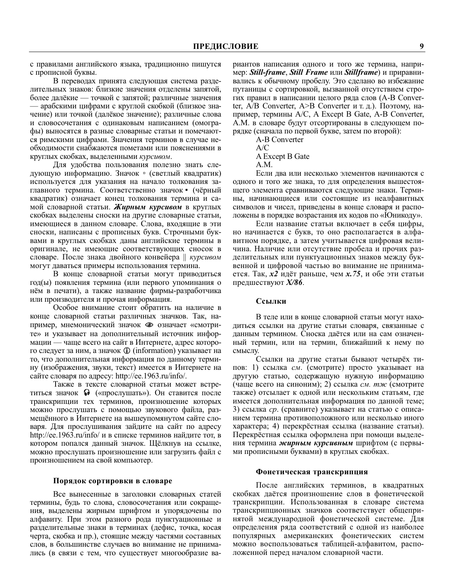с правилами английского языка, традиционно пишутся с прописной буквы.

В переводах принята следующая система разделительных знаков: близкие значения отделены запятой, более далёкие — точкой с запятой; различные значения арабскими цифрами с круглой скобкой (близкое значение) или точкой (далёкое значение); различные слова и словосочетания с одинаковым написанием (омографы) выносятся в разные словарные статьи и помечаются римскими цифрами. Значения терминов в случае необходимости снабжаются пометами или пояснениями в круглых скобках, выделенными курсивом.

Для удобства пользования полезно знать следующую информацию. Значок • (светлый квадратик) используется для указания на начало толкования заглавного термина. Соответственно значок • (чёрный квадратик) означает конец толкования термина и самой словарной статьи. Жирным курсивом в круглых скобках выделены сноски на другие словарные статьи, имеющиеся в данном словаре. Слова, входящие в эти сноски, написаны с прописных букв. Строчными буквами в круглых скобках даны английские термины в оригинале, не имеющие соответствующих сносок в словаре. После знака двойного конвейера || курсивом могут даваться примеры использования термина.

В конце словарной статьи могут приводиться год(ы) появления термина (или первого упоминания о нём в печати), а также название фирмы-разработчика или производителя и прочая информация.

Особое внимание стоит обратить на наличие в конце словарной статьи различных значков. Так, например, мнемонический значок • означает «смотрите» и указывает на дополнительный источник информации — чаще всего на сайт в Интернете, адрес которого следует за ним, а значок **(i)** (information) указывает на то, что дополнительная информация по данному термину (изображения, звуки, текст) имеется в Интернете на сайте словаря по адресу: http://ee.1963.ru/info/.

Также в тексте словарной статьи может встретиться значок • («прослушать»). Он ставится после транскрипции тех терминов, произношение которых можно прослушать с помощью звукового файла, размещённого в Интернете на вышеупомянутом сайте словаря. Для прослушивания зайдите на сайт по адресу http://ee.1963.ru/info/ и в списке терминов найдите тот, в котором попался данный значок. Щёлкнув на ссылке, можно прослушать произношение или загрузить файл с произношением на свой компьютер.

#### Порядок сортировки в словаре

Все вынесенные в заголовки словарных статей термины, будь то слова, словосочетания или сокращения, выделены жирным шрифтом и упорядочены по алфавиту. При этом разного рода пунктуационные и разделительные знаки в терминах (дефис, точка, косая черта, скобка и пр.), стоящие между частями составных слов, в большинстве случаев во внимание не принимались (в связи с тем, что существует многообразие ва-

риантов написания одного и того же термина, например: Still-frame, Still Frame или Stillframe) и приравнивались к обычному пробелу. Это сделано во избежание путаницы с сортировкой, вызванной отсутствием строгих правил в написании целого ряда слов (A-B Converter, А/В Converter, А>В Converter и т. д.). Поэтому, например, термины A/C, A Except B Gate, A-B Converter, А.М. в словаре будут отсортированы в следующем порядке (сначала по первой букве, затем по второй):

A-B Converter

 $\Delta/C$ A Except B Gate  $A.M.$ 

Если два или несколько элементов начинаются с одного и того же знака, то для определения вышестоящего элемента сравниваются следующие знаки. Термины, начинающиеся или состоящие из неалфавитных символов и чисел, приведены в конце словаря и расположены в порядке возрастания их кодов по «Юникоду».

Если название статьи включает в себя цифры, но начинается с букв, то оно располагается в алфавитном порядке, а затем учитывается цифровая величина. Наличие или отсутствие пробела и прочих разделительных или пунктуационных знаков между буквенной и цифровой частью во внимание не принимается. Так,  $x^2$  идёт раньше, чем  $x$ . 75, и обе эти статьи предшествуют  $X/86$ .

#### Ссылки

В теле или в конце словарной статьи могут находиться ссылки на другие статьи словаря, связанные с данным термином. Сноска даётся или на сам означенный термин, или на термин, ближайший к нему по смыслу.

Ссылки на другие статьи бывают четырёх типов: 1) ссылка см. (смотрите) просто указывает на другую статью, содержащую нужную информацию (чаще всего на синоним); 2) ссылка см. тж (смотрите также) отсылает к одной или нескольким статьям, где имеется дополнительная информация по данной теме; 3) ссылка ср. (сравните) указывает на статью с описанием термина противоположного или несколько иного характера; 4) перекрёстная ссылка (название статьи). Перекрёстная ссылка оформлена при помощи выделения термина жирным курсивным шрифтом (с первыми прописными буквами) в круглых скобках.

#### Фонетическая транскрипция

После английских терминов, в квадратных скобках даётся произношение слов в фонетической транскрипции. Использованная в словаре система транскрипционных значков соответствует общепринятой международной фонетической системе. Для определения ряда соответствий с одной из наиболее популярных американских фонетических систем можно воспользоваться таблицей-алфавитом, расположенной перед началом словарной части.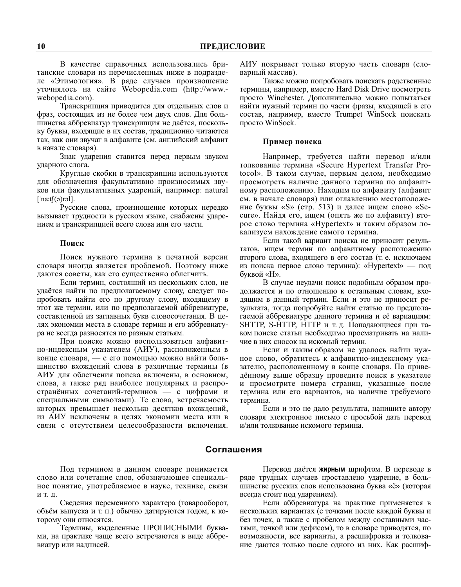В качестве справочных использовались британские словари из перечисленных ниже в подразделе «Этимология». В ряде случаев произношение уточнялось на сайте Webopedia.com (http://www.webopedia.com).

Транскрипция приводится для отдельных слов и фраз, состоящих из не более чем двух слов. Для большинства аббревиатур транскрипция не даётся, поскольку буквы, входящие в их состав, традиционно читаются так, как они звучат в алфавите (см. английский алфавит в начале словаря).

Знак ударения ставится перед первым звуком ударного слога.

Круглые скобки в транскрипции используются для обозначения факультативно произносимых звуков или факультативных ударений, например: natural  $\lceil \cdot \frac{\text{next}(\mathfrak{g})}{\text{ref}} \rceil$ .

Русские слова, произношение которых нередко вызывает трудности в русском языке, снабжены ударением и транскрипцией всего слова или его части.

#### Поиск

Поиск нужного термина в печатной версии словаря иногда является проблемой. Поэтому ниже даются советы, как его существенно облегчить.

Если термин, состоящий из нескольких слов, не удаётся найти по предполагаемому слову, следует попробовать найти его по другому слову, входящему в этот же термин, или по предполагаемой аббревиатуре, составленной из заглавных букв словосочетания. В целях экономии места в словаре термин и его аббревиатура не всегда разносятся по разным статьям.

При поиске можно воспользоваться алфавитно-индексным указателем (АИУ), расположенным в конце словаря, — с его помощью можно найти большинство вхождений слова в различные термины (в АИУ для облегчения поиска включены, в основном, слова, а также ряд наиболее популярных и распространённых сочетаний-терминов — с цифрами и специальными символами). Те слова, встречаемость которых превышает несколько десятков вхождений, из АИУ исключены в целях экономии места или в связи с отсутствием целесообразности включения. АИУ покрывает только вторую часть словаря (словарный массив).

Также можно попробовать поискать родственные термины, например, вместо Hard Disk Drive посмотреть просто Winchester. Дополнительно можно попытаться найти нужный термин по части фразы, входящей в его состав, например, вместо Trumpet WinSock поискать просто WinSock.

#### Пример поиска

Например, требуется найти перевод и/или толкование термина «Secure Hypertext Transfer Protocol». В таком случае, первым делом, необходимо просмотреть наличие данного термина по алфавитному расположению. Находим по алфавиту (алфавит см. в начале словаря) или оглавлению местоположение буквы «S» (стр. 513) и далее ищем слово «Secure». Найдя его, ищем (опять же по алфавиту) второе слово термина «Hypertext» и таким образом локализуем нахождение самого термина.

Если такой вариант поиска не приносит результатов, ищем термин по алфавитному расположению второго слова, входящего в его состав (т. е. исключаем из поиска первое слово термина): «Hypertext» — под буквой «Н».

В случае неудачи поиск подобным образом продолжается и по отношению к остальным словам, входящим в данный термин. Если и это не приносит результата, тогда попробуйте найти статью по предполагаемой аббревиатуре данного термина и её вариациям: SHTTP, S-HTTP, HTTP и т. д. Попадающиеся при таком поиске статьи необходимо просматривать на наличие в них сносок на искомый термин.

Если и таким образом не удалось найти нужное слово, обратитесь к алфавитно-индексному указателю, расположенному в конце словаря. По приведённому выше образцу проведите поиск в указателе и просмотрите номера страниц, указанные после термина или его вариантов, на наличие требуемого термина.

Если и это не дало результата, напишите автору словаря электронное письмо с просьбой дать перевод и/или толкование искомого термина.

### Соглашения

Под термином в данном словаре понимается слово или сочетание слов, обозначающее специальное понятие, употребляемое в науке, технике, связи

Сведения переменного характера (товарооборот, объём выпуска и т. п.) обычно датируются годом, к которому они относятся.

Термины, выделенные ПРОПИСНЫМИ буквами, на практике чаще всего встречаются в виде аббревиатур или надписей.

Перевод даётся жирным шрифтом. В переводе в ряде трудных случаев проставлено ударение, в большинстве русских слов использована буква «ё» (которая всегда стоит под ударением).

Если аббревиатура на практике применяется в нескольких вариантах (с точками после каждой буквы и без точек, а также с пробелом между составными частями, точкой или дефисом), то в словаре приводятся, по возможности, все варианты, а расшифровка и толкование даются только после одного из них. Как расшиф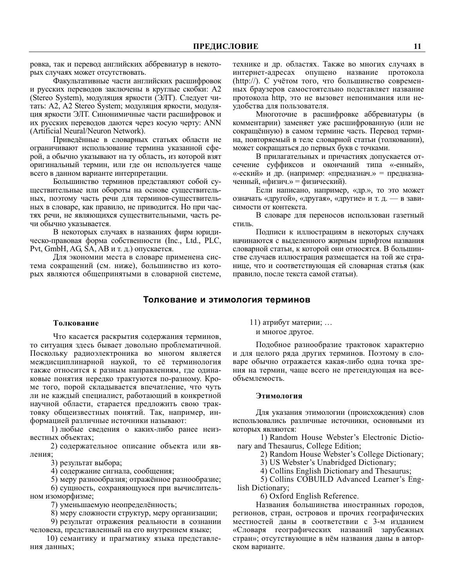ровка, так и перевод английских аббревиатур в некоторых случаях может отсутствовать.

Факультативные части английских расшифровок и русских переводов заключены в круглые скобки: А2 (Stereo System), модуляция яркости (ЭЛТ). Следует читать: A2, A2 Stereo System; модуляция яркости, модуляция яркости ЭЛТ. Синонимичные части расшифровок и их русских переводов даются через косую черту: ANN (Artificial Neural/Neuron Network).

Приведённые в словарных статьях области не ограничивают использование термина указанной сферой, а обычно указывают на ту область, из которой взят оригинальный термин, или где он используется чаще всего в данном варианте интерпретации.

Большинство терминов представляют собой существительные или обороты на основе существительных, поэтому часть речи для терминов-существительных в словаре, как правило, не приводится. Но при частях речи, не являющихся существительными, часть речи обычно указывается.

В некоторых случаях в названиях фирм юридическо-правовая форма собственности (Inc., Ltd., PLC, Pvt, GmbH, AG, SA, AB и т. д.) опускается.

Для экономии места в словаре применена система сокращений (см. ниже), большинство из которых являются общепринятыми в словарной системе, технике и др. областях. Также во многих случаях в интернет-адресах опущено название протокола (http://). С учётом того, что большинство современных браузеров самостоятельно подставляет название протокола http, это не вызовет непонимания или неудобства для пользователя.

Многоточие в расшифровке аббревиатуры (в комментарии) заменяет уже расшифрованную (или не сокращённую) в самом термине часть. Перевод термина, повторяемый в теле словарной статьи (толковании), может сокращаться до первых букв с точками.

В прилагательных и причастиях допускается отсечение суффиксов и окончаний типа «-енный», «-еский» и др. (например: «предназнач.» = предназначенный, «физич.» = физический).

Если написано, например, «др.», то это может означать «другой», «другая», «другие» и т. д. - в зависимости от контекста.

В словаре для переносов использован газетный стиль.

Подписи к иллюстрациям в некоторых случаях начинаются с выделенного жирным шрифтом названия словарной статьи, к которой они относятся. В большинстве случаев иллюстрация размещается на той же странице, что и соответствующая ей словарная статья (как правило, после текста самой статьи).

#### Толкование и этимология терминов

#### Толкование

Что касается раскрытия содержания терминов, то ситуация здесь бывает довольно проблематичной. Поскольку радиоэлектроника во многом является междисциплинарной наукой, то её терминология также относится к разным направлениям, где одинаковые понятия нередко трактуются по-разному. Кроме того, порой складывается впечатление, что чуть ли не каждый специалист, работающий в конкретной научной области, старается предложить свою трактовку общеизвестных понятий. Так, например, информацией различные источники называют:

1) любые сведения о каких-либо ранее неизвестных объектах:

2) содержательное описание объекта или явления:

3) результат выбора;

4) содержание сигнала, сообщения;

5) меру разнообразия; отражённое разнообразие;

6) сущность, сохраняющуюся при вычислительном изоморфизме;

7) уменьшаемую неопределённость;

8) меру сложности структур, меру организации;

9) результат отражения реальности в сознании человека, представленный на его внутреннем языке;

10) семантику и прагматику языка представления данных;

11) атрибут материи; ... и многое другое.

Подобное разнообразие трактовок характерно и для целого ряда других терминов. Поэтому в словаре обычно отражается какая-либо одна точка зрения на термин, чаще всего не претендующая на всеобъемлемость.

#### Этимология

Для указания этимологии (происхождения) слов использовались различные источники, основными из которых являются:

1) Random House Webster's Electronic Dictionary and Thesaurus, College Edition;

2) Random House Webster's College Dictionary;

3) US Webster's Unabridged Dictionary;

4) Collins English Dictionary and Thesaurus;

5) Collins COBUILD Advanced Learner's English Dictionary;

6) Oxford English Reference.

Названия большинства иностранных городов, регионов, стран, островов и прочих географических местностей даны в соответствии с 3-м изданием «Словаря географических названий зарубежных стран»; отсутствующие в нём названия даны в авторском варианте.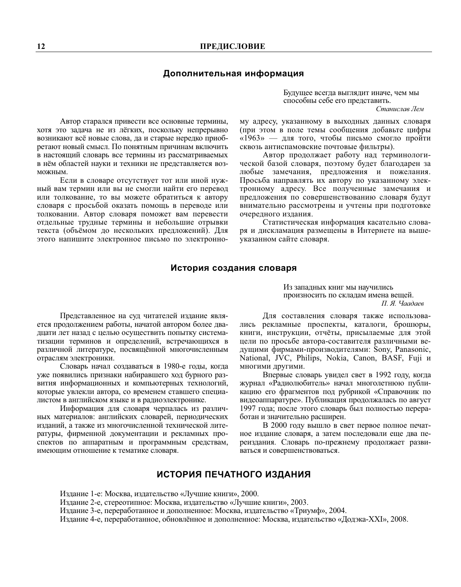### Дополнительная информация

Автор старался привести все основные термины, хотя это задача не из лёгких, поскольку непрерывно возникают всё новые слова, да и старые нередко приобретают новый смысл. По понятным причинам включить в настоящий словарь все термины из рассматриваемых в нём областей науки и техники не представляется возможным.

Если в словаре отсутствует тот или иной нужный вам термин или вы не смогли найти его перевод или толкование, то вы можете обратиться к автору словаря с просьбой оказать помощь в переводе или толковании. Автор словаря поможет вам перевести отдельные трудные термины и небольшие отрывки текста (объёмом до нескольких предложений). Для этого напишите электронное письмо по электронноБудущее всегда выглядит иначе, чем мы способны себе его представить.

Станислав Лем

му адресу, указанному в выходных данных словаря (при этом в поле темы сообщения добавьте цифры «1963» — для того, чтобы письмо смогло пройти сквозь антиспамовские почтовые фильтры).

Автор продолжает работу над терминологической базой словаря, поэтому будет благодарен за любые замечания, предложения и пожелания. Просьба направлять их автору по указанному электронному адресу. Все полученные замечания и предложения по совершенствованию словаря будут внимательно рассмотрены и учтены при подготовке очередного издания.

Статистическая информация касательно словаря и дискламация размещены в Интернете на вышеуказанном сайте словаря.

### История создания словаря

Представленное на суд читателей издание является продолжением работы, начатой автором более двадцати лет назад с целью осуществить попытку систематизации терминов и определений, встречающихся в различной литературе, посвящённой многочисленным отраслям электроники.

Словарь начал создаваться в 1980-е годы, когда уже появились признаки набиравшего ход бурного развития информационных и компьютерных технологий, которые увлекли автора, со временем ставшего специалистом в английском языке и в радиоэлектронике.

Информация для словаря черпалась из различных материалов: английских словарей, периодических изданий, а также из многочисленной технической литературы, фирменной документации и рекламных проспектов по аппаратным и программным средствам, имеющим отношение к тематике словаря.

Из западных книг мы научились произносить по складам имена вещей. П. Я. Чаадаев

Для составления словаря также использовались рекламные проспекты, каталоги, брошюры, книги, инструкции, отчёты, присылаемые для этой цели по просьбе автора-составителя различными ведущими фирмами-производителями: Sony, Panasonic, National, JVC, Philips, Nokia, Canon, BASF, Fuji и многими другими.

Впервые словарь увидел свет в 1992 году, когда журнал «Радиолюбитель» начал многолетнюю публикацию его фрагментов под рубрикой «Справочник по видеоаппаратуре». Публикация продолжалась по август 1997 года; после этого словарь был полностью переработан и значительно расширен.

В 2000 году вышло в свет первое полное печатное издание словаря, а затем последовали еще два переиздания. Словарь по-прежнему продолжает развиваться и совершенствоваться.

# ИСТОРИЯ ПЕЧАТНОГО ИЗДАНИЯ

Издание 1-е: Москва, издательство «Лучшие книги», 2000.

Издание 2-е, стереотипное: Москва, издательство «Лучшие книги», 2003.

Издание 3-е, переработанное и дополненное: Москва, издательство «Триумф», 2004.

Издание 4-е, переработанное, обновлённое и дополненное: Москва, издательство «Додэка-XXI», 2008.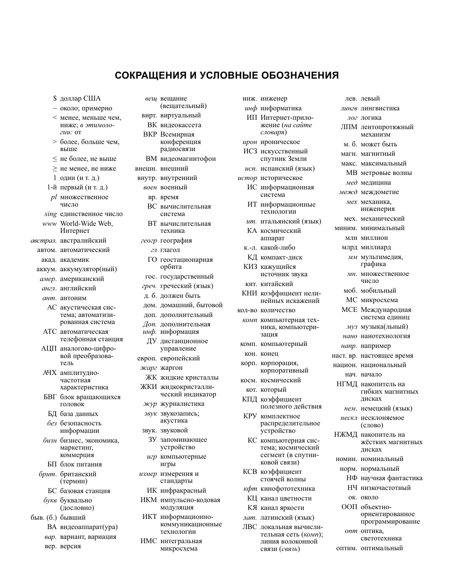# СОКРАЩЕНИЯ И УСЛОВНЫЕ ОБОЗНАЧЕНИЯ

- \$ доллар США
- ~ около; примерно
- < менее, меньше чем. ниже: в этимоло- $2111 \cdot 0$ T
- > более, больше чем, выше
- $\leq$  не более, не выше
- $\geq$  не менее, не ниже
- 1 один (и т. д.)
- 1-й первый (и т. д.)
- pl множественное число
- sing единственное число
- www World-Wide Web. Интернет
- австрал. австралийский автом. автоматический
	- акад. академик
	- аккум. аккумулятор(ный)
	- амер. американский
	- англ. английский
	- ант. антоним
	- АС акустическая система; автоматизированная система
	- АТС автоматическая телефонная станция
	- АЦП аналогово-цифровой преобразователь
	- **АЧХ** амплитулночастотная характеристика
	- БВГ блок вращающихся головок
	- БЛ база ланных без безопасность
	- информации
	- бизн бизнес, экономика, маркетинг. коммерция
	- БП блок питания
	- брит. британский  $($ TepM $)$ 
		- БС базовая станция
	- букв буквально (дословно)
- быв. (б.) бывший
	- ВА видеоаппарат(ура)
	- вар. вариант, вариация
	- вер. версия
- вещ вещание (вещательный)
- вирт. виртуальный ВК вилеокассета
- ВКР Всемирная конференция
- радиосвязи
- ВМ видеомагнитофон внешн. внешний
- внутр. внутренний
- воен военный
	- вр. время
	- ВС вычислительная система
	- ВТ вычислительная техника
- геогр география
	- гл глагол
	- ГО геостационарная орбита
- гос. государственный
- греч. греческий (язык)
- д. б. должен быть
- дом. домашний, бытовой
- доп. дополнительный
- Доп. дополнительная инф. информация
- ЛУ листанционное
- управление
- европ. европейский
- жарг жаргон
- ЖК жидкие кристаллы
- ЖКИ жидкокристаллический индикатор
- журналистика
- звук звукозапись; акустика
- звук. звуковой
- ЗУ запоминающее устройство
- игр компьютерные игры
- измер измерения и стандарты
	- ИК инфракрасный
- ИКМ импульсно-кодовая модуляция
- ИКТ информационнокоммуникационные технологии
- ИМС интегральная микросхема

|  | инж. инженер |
|--|--------------|
|--|--------------|

инф информатика ИП Интернет-приложение (на сайте

пев певый

лог логика

лингв лингвистика

ЛПМ лентопротяжный

механизм

м б может быть

макс. максимальный

МВ метровые волны

инженерия

мех. механический

мм мультимедия,

мн. множественное

графика

имело

моб. мобильный

МС микросхема

МСЕ Международная

муз музыка(льный)

нано нанотехнология

наст. вр. настоящее время

национ. национальный

НГМД накопитель на

лисках

нескл несклоняемое

(слово)

НЖМЛ накопитель на

лисках

номин. номинальный

норм. нормальный

ок. около

ООП объектно-

опт оптика.

оптим. оптимальный

нем. немецкий (язык)

напр. например

нач. начало

система единиц

гибких магнитных

жёстких магнитных

НФ научная фантастика

ориентированное

светотехника

программирование

НЧ низкочастотный

миним. минимальный

МЛН МИЛЛИОН

млрд миллиард

магн. магнитный

мед мелинина

межд междометие

мех механика.

- словаря) ирон ироническое
- ИСЗ искусственный спутник Земли
- исп. испанский (язык)
- истор историческое
	- ИС информационная система
	- ИТ информационные технологии
	- ит. итальянский (язык)
	- КА космический аппарат
	- к.-л. какой-либо
	- КЛ компакт-лиск
	- КИЗ кажушийся источник звука
	- кит. китайский
- КНИ коэффициент нелинейных искажений
- **КОЛ-ВО КОЛИЧЕСТВО** 
	- комп компьютерная техника, компьютеризация
	- комп. компьютерный
	- кон. конец
	- корп. корпорация, корпоративный
	- косм. космический
	- кот. который
	- КПД коэффициент полезного лействия
	- КРУ комплектное распределительное устройство
	- КС компьютерная система; космический сегмент (в спутниковой связи)
	- КСВ коэффициент стоячей волны
	- кфт кинофототехника
	- КЦ канал цветности
	- КЯ канал яркости
	- лат. латинский (язык)
	- ЛВС локальная вычислительная сеть (комп); линия волоконной связи (связь)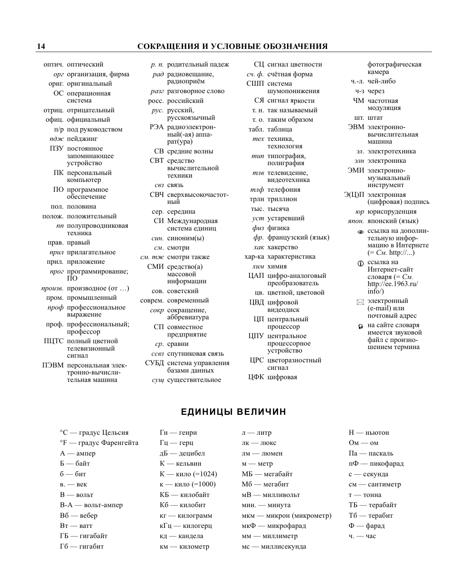#### СОКРАЩЕНИЯ И УСЛОВНЫЕ ОБОЗНАЧЕНИЯ

оптич. оптический

- орг организация, фирма
- ориг. оригинальный
- ОС операционная система
- отриц. отрицательный
- офиц. официальный п/р под руководством
- пдж пейлжинг
- ПЗУ постоянное
- запоминающее устройство
- ПК персональный компьютер
- ПО программное обеспечение
- пол. половина
- полож. положительный
	- пп полупроводниковая техника
	- прав. правый
	- прил прилагательное
- прил. приложение
- прог программирование; ПŌ
- произв. производное (от ...) пром. промышленный
- проф профессиональное выражение
- проф. профессиональный; профессор
- ПНТС полный иветной телевизионный сигнал
- ПЭВМ персональная электронно-вычислительная машина

разг разговорное слово росс. российский рус. русский, русскоязычный РЭА радиоэлектрон-.<br>ный(-ая) аппа $par(ypa)$ СВ средние волны СВТ средство вычислительной техники СВЗ СВЯЗЬ СВЧ сверхвысокочастотный

р. п. родительный падеж

рад радиовещание,

радиоприём

- сер. середина
- СИ Международная система единиц
- син. синоним(ы)
- см. смотри
- см. тж смотри также СМИ средство(а) массовой
	- информации сов. советский
- соврем. современный сокр сокращение,
	- аббревиатура СП совместное
	- предприятие ср. сравни
	- ссвз спутниковая связь
	- СУБД система управления базами данных
	- сущ существительное

 $\Gamma$ н — генри

- СЦ сигнал цветности
- $cu$ .  $\phi$ . счётная форма
- СШП система шумопонижения
	- СЯ сигнал яркости
	- т. н. так называемый
	- т. о. таким образом
- табл. таблица
- тех техника. технология
- тип типография, полиграфия
- тлв телевиление. вилеотехника
- тлф телефония
- трлн триллион
- тыс. тысяча
- уст устаревший
- физ физика
- фр. французский (язык)
- хак хакерство
- хар-ка характеристика
- хим химия
- ЦАП цифро-аналоговый преобразователь цв. цветной, цветовой
- ЦВД цифровой видеодиск
- ШП центральный процессор
- ЦПУ центральное процессорное устройство
- ЦРС цветоразностный сигнал
- ЦФК цифровая

 $\mathbf{I}$  — литр

- фотографическая камера
- ч.-л. чей-либо ч-з через
- 
- ЧМ частотная модуляция
- шт. штат
- ЭВМ электронновычислительная машина
	- эл. электротехника
	- элн электроника
- ЭМИ электронномузыкальный инструмент
- Э(Ц)П электронная (цифровая) подпись
	- юр юриспруденция
- япон. японский (язык)
	- **ССЫЛКА** НА ДОПОЛНИтельную информацию в Интернете  $(= C_M.$  http://...)
	- ссылка на  $\bigcirc$ Интернет-сайт словаря (=  $C_M$ . http://ee.1963.ru/  $\langle \text{info} \rangle$
	- ⊠ электронный (e-mail) или почтовый адрес
	- на сайте словаря имеется звуковой файл с произношением термина

# ЕДИНИЦЫ ВЕЛИЧИН

°F — градус Фаренгейта  $A - a$ мпер Б — байт  $6 - 6n$ т  $B = Bek$  $B -$  вольт В-А — вольт-ампер Вб — вебер  $Br Barr$ 

°С — градус Цельсия

- ГБ гигабайт
- Гб гигабит
- $\Gamma$ ц герц дБ — децибел К — кельвин К — кило (=1024) к — кило (=1000) КБ — килобайт Кб — килобит кг — килограмм кГц — килогерц кд — кандела км — километр
- лк люкс лм — люмен  $M \rightarrow M$ etp МБ — мегабайт Мб — мегабит мВ — милливольт мин. - минута мкм — микрон (микрометр) мкФ — микрофарад мм — миллиметр
- мс миллисекунда
- **H** ньютон  $OM - OM$ Па — паскаль пФ — пикофарад с — секунда см — сантиметр
- т тонна
- ТБ терабайт
- Тб терабит
- $\Phi$  фарад
- ч. час

14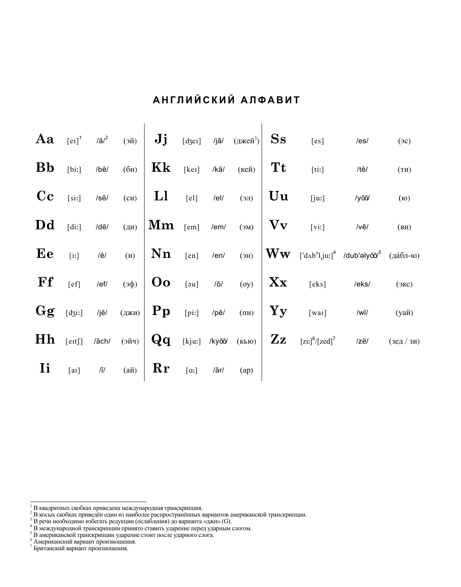| Aa        |                   |                                |                                                              | $\begin{array}{cc} \begin{bmatrix} \mathbf{e} \mathbf{I} \end{bmatrix}^1$ /ā/ <sup>2</sup> (эй) $\mathbf{J}$ <b>j</b> $\begin{bmatrix} \text{d} \text{d} \text{d} \end{bmatrix}$ /jā/ $\begin{bmatrix} \text{d} \text{d} \text{d} \text{d} \end{bmatrix}$ Ss |         |               |                |                        | [es]                                                                      | /es/          | (3c)              |
|-----------|-------------------|--------------------------------|--------------------------------------------------------------|--------------------------------------------------------------------------------------------------------------------------------------------------------------------------------------------------------------------------------------------------------------|---------|---------------|----------------|------------------------|---------------------------------------------------------------------------|---------------|-------------------|
| <b>Bb</b> | [bi!]             | /bē/                           | (6n)                                                         | Kk                                                                                                                                                                                                                                                           | [ker]   | $/k\bar{a}/$  | $(\text{кей})$ | <b>Tt</b>              | $[$ ti:]                                                                  | /tē/          | (TH)              |
| $\bf{C}$  | [si!]             | /sē/                           | $\overline{(c)}$                                             | <sub>L1</sub>                                                                                                                                                                                                                                                | $[el]$  | $/$ el/       | (IE)           | Uu                     | [ju:]                                                                     | /yōō/         | (6)               |
| Dd        | [dii]             | /dē/                           | (M)                                                          | $\mathbf{Mm}$ [em]                                                                                                                                                                                                                                           |         | $/$ em $/$    | $(M\epsilon)$  | Vv                     | $[$ vi:]                                                                  | $/v\bar{e}$   | (BM)              |
| Ee        | $[$               | /ē/                            | (M)                                                          | Nn                                                                                                                                                                                                                                                           | [en]    | /en/          | (HE)           | Ww                     | [ˈdʌb <sup>ə</sup> lˌjuː] <sup>4</sup> /dub'əlyō̄J <sup>5</sup> (да́бл-ю) |               |                   |
| Ff        | [ef]              | /ef/                           | $\left  \right $ ( $\phi$ e)                                 | $\overline{\textbf{O}}$                                                                                                                                                                                                                                      | [au]    | $/ \bar{o}$   | (oy)           | Xx                     | [eks]                                                                     | /eks/         | (3 <sub>K</sub> ) |
| Gg        | $[d_3i!]$         | /jē/                           | $\left( \mathbf{q}_{\mathbf{X} \mathbf{H}}\right)$ <b>Pp</b> |                                                                                                                                                                                                                                                              | $[pi:]$ | /pē/          | $(\Pi M)$      | Yy                     | $[$ wai]                                                                  | $/w\bar{u}/$  | (уай)             |
| Hh        | $[$ e $\pi$ f $]$ | /āch/                          | $(v\breve{\text{W}}e)$                                       | $\bf{Q}$ q                                                                                                                                                                                                                                                   |         | [kju:] /kyōō/ | (Kb)           | $\mathbf{Z}\mathbf{z}$ | $[zi:]^6/[zed]^7$                                                         | $/z\bar{e}$ / | $($ зед / зи)     |
| Ii        | [a <sub>I</sub> ] | $\sqrt{\mathsf{I}}/\mathsf{I}$ | $(a\breve{\bf n})$                                           | Rr                                                                                                                                                                                                                                                           |         | /ār/          | (ap)           |                        |                                                                           |               |                   |
|           |                   |                                |                                                              |                                                                                                                                                                                                                                                              |         |               |                |                        |                                                                           |               |                   |

# АНГЛИЙСКИЙ АЛФАВИТ

 $^1$  В квадратных скобках приведена международная транскрипция.<br> $^2$  В косых скобках приведён один из наиболее распространённых вариантов американской транскрипции.<br> $^3$  В речи необходимо избегать редукции (ослабления) д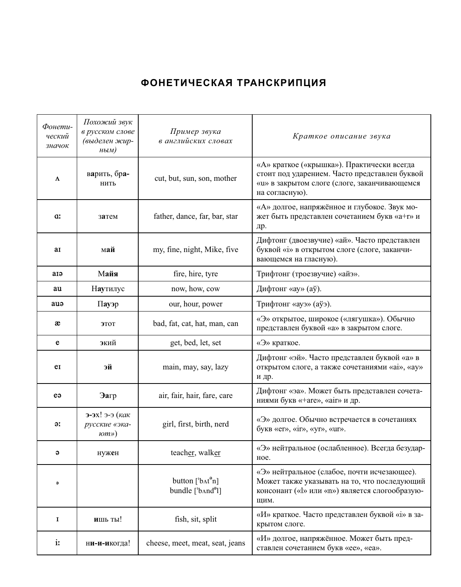# **ФОНЕТИЧЕСКАЯ ТРАНСКРИПЦИЯ**

| Фонети-<br>ческий<br>значок | Похожий звук<br>в русском слове<br>(выделен жир-<br>ным) | Пример звука<br>в английских словах                                                                                      | Краткое описание звука                                                                                                                                        |
|-----------------------------|----------------------------------------------------------|--------------------------------------------------------------------------------------------------------------------------|---------------------------------------------------------------------------------------------------------------------------------------------------------------|
| Λ                           | варить, бра-<br>НИТЬ                                     | cut, but, sun, son, mother                                                                                               | «А» краткое («крышка»). Практически всегда<br>стоит под ударением. Часто представлен буквой<br>«и» в закрытом слоге (слоге, заканчивающемся<br>на согласную). |
| a:                          | затем                                                    | father, dance, far, bar, star                                                                                            | «А» долгое, напряжённое и глубокое. Звук мо-<br>жет быть представлен сочетанием букв «а+r» и<br>др.                                                           |
| aı                          | май                                                      | my, fine, night, Mike, five                                                                                              | Дифтонг (двоезвучие) «ай». Часто представлен<br>буквой «і» в открытом слоге (слоге, заканчи-<br>вающемся на гласную).                                         |
| aiə                         | Майя                                                     | fire, hire, tyre                                                                                                         | Трифтонг (троезвучие) «айэ».                                                                                                                                  |
| au                          | Наутилус                                                 | now, how, cow                                                                                                            | Дифтонг «ау» (аў).                                                                                                                                            |
| auə                         | Пауэр                                                    | our, hour, power                                                                                                         | Трифтонг «ауэ» (аўэ).                                                                                                                                         |
| æ                           | ЭТОТ                                                     | bad, fat, cat, hat, man, can                                                                                             | «Э» открытое, широкое («лягушка»). Обычно<br>представлен буквой «а» в закрытом слоге.                                                                         |
| e                           | экий                                                     | get, bed, let, set                                                                                                       | «Э» краткое.                                                                                                                                                  |
| eI                          | эй                                                       | main, may, say, lazy                                                                                                     | Дифтонг «эй». Часто представлен буквой «а» в<br>открытом слоге, а также сочетаниями «ai», «ау»<br>и др.                                                       |
| eə                          | Эагр                                                     | air, fair, hair, fare, care                                                                                              | Дифтонг «эа». Может быть представлен сочета-<br>ниями букв «+are», «air» и др.                                                                                |
| əː                          | э-эх! э-э (как<br>русские «эка-<br>100)                  | girl, first, birth, nerd                                                                                                 | «Э» долгое. Обычно встречается в сочетаниях<br>букв «er», «ir», «yr», «ur».                                                                                   |
| ә                           | нужен                                                    | teacher, walker                                                                                                          | «Э» нейтральное (ослабленное). Всегда безудар-<br>ное.                                                                                                        |
| $\bullet$                   |                                                          | button $[{}^{\text{b}}\text{At}^{\text{e}}\text{n}]$<br>bundle $[{}^{\text{b}}$ And <sup><math>\text{o}}</math></sup> l] | «Э» нейтральное (слабое, почти исчезающее).<br>Может также указывать на то, что последующий<br>консонант («l» или «n») является слогообразую-<br>ЩИМ.         |
| 1                           | ишь ты!                                                  | fish, sit, split                                                                                                         | «И» краткое. Часто представлен буквой «i» в за-<br>крытом слоге.                                                                                              |
| iː                          | ни-и-икогда!                                             | cheese, meet, meat, seat, jeans                                                                                          | «И» долгое, напряжённое. Может быть пред-<br>ставлен сочетанием букв «ее», «еа».                                                                              |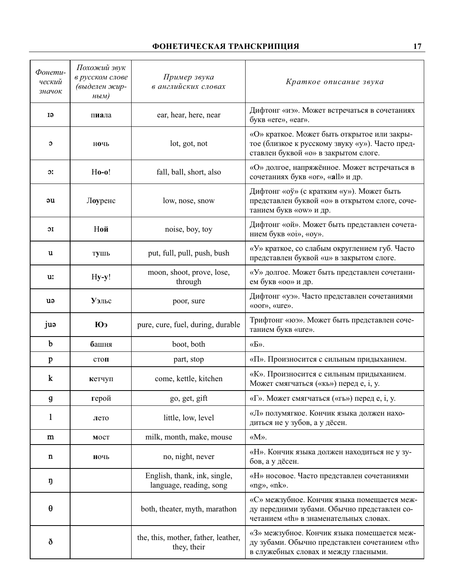# **ФОНЕТИЧЕСКАЯ ТРАНСКРИПЦИЯ** 17

| Фонети-<br>ческий<br>значок              | Похожий звук<br>в русском слове<br>(выделен жир-<br>HblM) | Пример звука<br>в английских словах                     | Краткое описание звука                                                                                                                 |
|------------------------------------------|-----------------------------------------------------------|---------------------------------------------------------|----------------------------------------------------------------------------------------------------------------------------------------|
| IJ                                       | пиала                                                     | ear, hear, here, near                                   | Дифтонг «иэ». Может встречаться в сочетаниях<br>букв «ere», «ear».                                                                     |
| C                                        | ночь                                                      | lot, got, not                                           | «О» краткое. Может быть открытое или закры-<br>тое (близкое к русскому звуку «у»). Часто пред-<br>ставлен буквой «о» в закрытом слоге. |
| $\mathfrak{D}_{\mathbf{r}}^{\mathbf{r}}$ | $Ho-0!$                                                   | fall, ball, short, also                                 | «О» долгое, напряжённое. Может встречаться в<br>сочетаниях букв «or», «all» и др.                                                      |
| əu                                       | Лоуренс                                                   | low, nose, snow                                         | Дифтонг «оў» (с кратким «у»). Может быть<br>представлен буквой «о» в открытом слоге, соче-<br>танием букв «оw» и др.                   |
| ЭI                                       | Ной                                                       | noise, boy, toy                                         | Дифтонг «ой». Может быть представлен сочета-<br>нием букв «oi», «oy».                                                                  |
| u                                        | тушь                                                      | put, full, pull, push, bush                             | «У» краткое, со слабым округлением губ. Часто<br>представлен буквой «u» в закрытом слоге.                                              |
| u:                                       | Hy-y!                                                     | moon, shoot, prove, lose,<br>through                    | «У» долгое. Может быть представлен сочетани-<br>ем букв «оо» и др.                                                                     |
| uə                                       | Уэльс                                                     | poor, sure                                              | Дифтонг «уэ». Часто представлен сочетаниями<br>«oor», «ure».                                                                           |
| juə                                      | Юэ                                                        | pure, cure, fuel, during, durable                       | Трифтонг «юэ». Может быть представлен соче-<br>танием букв «ure».                                                                      |
| $\mathbf b$                              | башня                                                     | boot, both                                              | $\langle \langle \mathbf{b} \rangle \rangle$ .                                                                                         |
| p                                        | стоп                                                      | part, stop                                              | «П». Произносится с сильным придыханием.                                                                                               |
| $\bf k$                                  | кетчуп                                                    | come, kettle, kitchen                                   | «К». Произносится с сильным придыханием.<br>Может смягчаться («кь») перед е, i, y.                                                     |
| g                                        | герой                                                     | go, get, gift                                           | «Г». Может смягчаться («гь») перед е, і, у.                                                                                            |
| 1                                        | лето                                                      | little, low, level                                      | «Л» полумягкое. Кончик языка должен нахо-<br>диться не у зубов, а у дёсен.                                                             |
| m                                        | MOCT                                                      | milk, month, make, mouse                                | «M».                                                                                                                                   |
| n                                        | ночь                                                      | no, night, never                                        | «Н». Кончик языка должен находиться не у зу-<br>бов, а у дёсен.                                                                        |
| ŋ                                        |                                                           | English, thank, ink, single,<br>language, reading, song | «Н» носовое. Часто представлен сочетаниями<br>«ng», «nk».                                                                              |
| θ                                        |                                                           | both, theater, myth, marathon                           | «С» межзубное. Кончик языка помещается меж-<br>ду передними зубами. Обычно представлен со-<br>четанием «th» в знаменательных словах.   |
| ð                                        |                                                           | the, this, mother, father, leather,<br>they, their      | «З» межзубное. Кончик языка помещается меж-<br>ду зубами. Обычно представлен сочетанием «th»<br>в служебных словах и между гласными.   |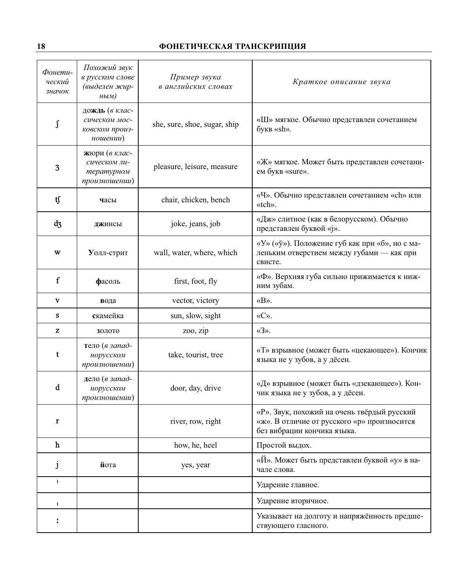# **18 ФОНЕТИЧЕСКАЯ ТРАНСКРИПЦИЯ**

| Фонети-<br>ческий<br>значок | Похожий звук<br>в русском слове<br>(выделен жир-<br>$H$ bl $M$ ) | Пример звука<br>в английских словах | Краткое описание звука                                                                                                    |
|-----------------------------|------------------------------------------------------------------|-------------------------------------|---------------------------------------------------------------------------------------------------------------------------|
| ſ                           | дождь (в клас-<br>сическом мос-<br>ковском произ-<br>ношении)    | she, sure, shoe, sugar, ship        | «Ш» мягкое. Обычно представлен сочетанием<br>букв «sh».                                                                   |
| 3                           | жюри (в клас-<br>сическом ли-<br>тературном<br>произношении)     | pleasure, leisure, measure          | «Ж» мягкое. Может быть представлен сочетани-<br>ем букв «sure».                                                           |
| tſ                          | часы                                                             | chair, chicken, bench               | «Ч». Обычно представлен сочетанием «ch» или<br>«tch».                                                                     |
| dz                          | джинсы                                                           | joke, jeans, job                    | «Дж» слитное (как в белорусском). Обычно<br>представлен буквой «j».                                                       |
| w                           | Уолл-стрит                                                       | wall, water, where, which           | «У» («ў»). Положение губ как при «б», но с ма-<br>леньким отверстием между губами - как при<br>свисте.                    |
| ${\bf f}$                   | фасоль                                                           | first, foot, fly                    | «Ф». Верхняя губа сильно прижимается к ниж-<br>ним зубам.                                                                 |
| V                           | вода                                                             | vector, victory                     | «B».                                                                                                                      |
| s                           | скамейка                                                         | sun, slow, sight                    | «C».                                                                                                                      |
| z                           | золото                                                           | zoo, zip                            | $\langle 3 \rangle$ .                                                                                                     |
| t                           | тело (в запад-<br>норусском<br>произношении)                     | take, tourist, tree                 | «Т» взрывное (может быть «цекающее»). Кончик<br>языка не у зубов, а у дёсен.                                              |
| d                           | дело (в запад-<br>норусском<br>произношении)                     | door, day, drive                    | «Д» взрывное (может быть «дзекающее»). Кон-<br>чик языка не у зубов, а у дёсен.                                           |
| r                           |                                                                  | river, row, right                   | «Р». Звук, похожий на очень твёрдый русский<br>«ж». В отличие от русского «р» произносится<br>без вибрации кончика языка. |
| $\mathbf h$                 |                                                                  | how, he, heel                       | Простой выдох.                                                                                                            |
| J                           | йота                                                             | yes, year                           | «Й». Может быть представлен буквой «у» в на-<br>чале слова.                                                               |
| I.                          |                                                                  |                                     | Ударение главное.                                                                                                         |
| п                           |                                                                  |                                     | Ударение вторичное.                                                                                                       |
|                             |                                                                  |                                     | Указывает на долготу и напряжённость предше-<br>ствующего гласного.                                                       |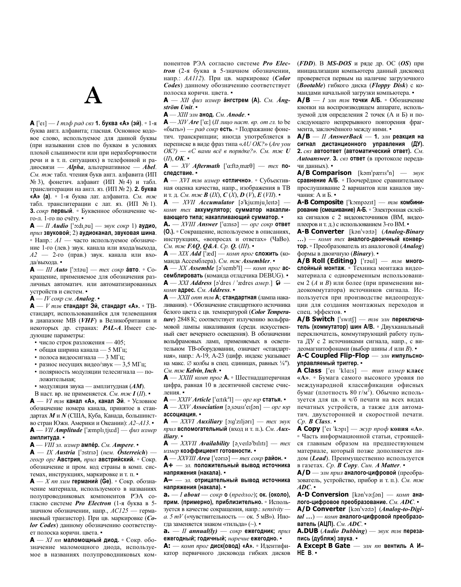А  $[{}^{\circ}$ ет] — *І тлф рад свз* **1. буква «А» (эй)**. • 1-я буква англ. алфавита; гласная. Основное кодовое слово, используемое для данной буквы (при назывании слов по буквам в условиях плохой слышимости или при неразборчивости речи и в т. п. ситуациях) в телефонной и радиосвязи - Alpha, альтернативное - Abel. См. тж табл. чтения букв англ. алфавита (ИП № 3), фонетич. алфавит (ИП № 4) и табл. транслитерации на англ. яз. (ИП № 2). 2. буква «А» (а). • 1-я буква лат. алфавита. См. тж табл. транслитерации с лат. яз. (ИП № 1). 3. сокр первый. • Буквенное обозначение чего-л. 1-го по счёту.

 $A - II$  Audio ['o:dɪ,au] — звук сокр 1) аудио, прил звуковой; 2) аудиоканал, звуковая шина. • Напр.:  $AI$  — часто используемое обозначение 1-го (лев.) звук. канала или входа/выхода, А2 - 2-го (прав.) звук. канала или входа/выхода.

 $A = III$  Auto ['o:tau] — mex cokp aBTO.  $\circ$  Coкращение, применяемое для обозначения различных автоматич, или автоматизированных устройств и систем. •

 $A - IV$  сокр см. Analog.

 $A - V$  тлв стандарт Эй, стандарт «А». • ТВстанларт, использовавшийся для телевешания в диапазоне МВ (VHF) в Великобритании и некоторых др. странах: **PAL-A**. Имеет следующие параметры:

- число строк разложения 405;
- общая ширина канала 5 МГц;
- полоса видеосигнала 3 МГц;
- разнос несущих видео/звук 3,5 МГц;
- полярность модуляции телесигнала положительная;
- модуляция звука амплитудная  $(AM)$ .

В наст. вр. не применяется. См. тж  $I(II)$ .  $A - VI$  тлв канал «А», канал Эй. • Условное обозначение номера канала, принятое в стандартах *М* и *N* (США, Куба, Канада, большинство стран Южн. Америки и Океании):  $A2 - A13$ .  $A$  — VII Amplitude ['æmplɪ,tjuːd] — физ измер амплитуда. •

 $A - VIII$  эл. измер ампе́р. См. Ampere.

 $A = IX$  Austria ['ostria] (нем. Österreich) геогр орг Австрия, прил австрийский. • Сокр. обозначение и пром. код страны в комп. системах, инструкциях, маркировке и т. п. •

 $A - X$  пп хим германий (Ge). • Сокр. обозначение материала, используемого в названиях полупроводниковых компонентов РЭА согласно системе *Pro Electron* (1-я буква в 5значном обозначении, напр.,  $AC125$  - германиевый транзистор). При цв. маркировке (Соlor Codes) данному обозначению соответствует полоска коричн. цвета. •

 $A = XI$  пп маломощный диод. • Сокр. обозначение маломощного диода, используемое в названиях полупроводниковых ком-

понентов РЭА согласно системе Pro Electron (2-я буква в 5-значном обозначении, напр.: AA112). При цв. маркировке (Color Codes) данному обозначению соответствует полоска коричн. цвета. •

 $A = XII$  физ измер а́нгстрем (А). См. Ångström Unit.

А - XIII элн анод. См. Anode. •

 $A = XIV$  *Are* ['a:] *(II лицо наст. вр. от гл. to be* «быть») — *рад сокр* есть. • Полражание фонетич. транскрипции; иногда употребляется в переписке в виде фраз типа «AU OK?» (Are you  $OK?)$  — «С вами всё в порядке?». См. тж  $U$  $(II)$ , OK.  $\bullet$ 

 $A = XY$  Aftermath ['a:ftə,mæ $\theta$ ] — mex noследствие. -

 $A - XVI$  тлв измер «отлично». • Субъективная оценка качества, напр., изображения в ТВ и т. д. См. тж В (IX),  $C(X)$ ,  $D(V)$ ,  $E(VII)$ .

 $A - XVII$  *Accumulator* [a<sup>t</sup>kju:mju<sub>r</sub>lerta] комп тех аккумулятор; сумматор накапливающего типа; накапливающий сумматор. -

А. — XVIII Answer ['a:nsə] — орг сокр ответ (0.). • Сокращение, используемое в описаниях, инструкциях, «вопросах и ответах» (ЧаВо). См. тж **FAQ**, **Q&A**. Ср. **Q.** (III).

 $A$  — XIX Add ['æd] — комп прог сложить (команла Ассемблера). См. тж. Assembler. •

 $A$  — XX Assemble [ $\sigma$ <sup>'</sup>semb<sup>a</sup>l] — комп прог **ас**семблировать (команда отладчика DEBUG). •  $\mathbf{A}$  - XXI Address [ə<sup>1</sup>dres / <sup>1</sup>ædres amep.]  $\mathbf{\hat{v}}$  комп адрес. См. Address. •

 $A - XXII$  опт тлв  $A$ ; стандартная (лампа накаливания). • Обозначение стандартного источника белого цвета с цв. температурой (Color Temperature) 2848 К; соответствует излучению вольфрамовой лампы накаливания (средн. искусственный свет вечернего освещения). В обозначении вольфрамовых ламп, применяемых в осветительном ТВ-оборудовании, означает «стандартная», напр.: А-19, А-23 (цифр. индекс указывает на макс. Ø колбы в спец. единицах, равных 1/8"). См. тж Kelvin, Inch.

 $A - XXIII$  комп прог  $A$ . • Шестналиатеричная цифра, равная 10 в десятичной системе счисления. •

А — XXIV Article ['a:tɪk<sup>a</sup>l] — орг юр статья. •

 $A$  - XXV Association [ə, səusi<sup>1</sup>etfən] - opz top ассоциация. •

 $A$  - XXVI Auxiliary [o:g'ziljori] - mex 36yK прил вспомогательный (вход и т. п.). См. Аихiliary.

 $A - XXVII$  Availability [a<sub>i</sub>verla<sup>t</sup>bility] — mex измер коэффициент готовности. •

 $A$  — XXVIII Area [ $'$ earia] — тех сокр район. А+ - эл. положительный вывод источника напряжения (накала). •

А- - эл. отрицательный вывод источника напряжения (накала). •

**a.**  $-I$  *about*  $-\cos p$  o (*предлог*); ок. (около), прим. (примерно), приблизительно. • Используется в качестве сокращения, напр.: sensivity а. 5 т $V$  («чувствительность — ок. 5 мВ»). Иногда заменяется знаком «тильда» (~). •

 $a. - II$  annual(ly) — сокр ежегодник; прил ежегодный; годичный; наречие ежегодно.

А: - комп прог диск(овод) «А». • Идентификатор первичного дисковода гибких дисков  $(FDD)$ . В MS-DOS и ряде др. ОС (OS) при инициализации компьютера данный дисковод проверяется первым на наличие загрузочного (Bootable) гибкого диска (Floppy Disk) с командами начальной загрузки компьютера.

 $A/B - I$  элн тлв точки  $A/B$ . • Обозначение кнопки на воспроизводящем аппарате, используемой для определения 2 точек (А и Б) и последующего непрерывного повторения фрагмента, заключённого между ними.

 $A/B - II$  AnswerBack - 1. элн реакция на сигнал дистанционного управления (ДУ). 2. свз автоответ (автоматический ответ). См. Autoanswer. 3. свз ответ (в протоколе передачи данных). •

 $A/B$  Comparison [kam'pæris<sup>a</sup>n] —  $36yK$ сравнение А/Б. • Поочерёдное сравнительное прослушивание 2 вариантов или каналов звучания: А и Б. •

A-B Composite ['kompazit] - тлв комбинирование (смешивание) А-Б. • Электронная склейка сигналов с 2 видеоисточников (ВМ, видеоплееров и т. д.) с использованием 3-го ВМ. •

A-B Converter [kan'va:ta] (Analog-Binary ...) — комп тех аналого-двоичный конвертор. • Преобразователь из аналоговой (Analog) формы в двоичную (Binary). •

 $\mathbf{A}/\mathbf{B}$  Roll (Editing) ['roul] –  $m n e$  многослойный монтаж. • Техника монтажа видеоматериала с одновременным использованием 2 (А и В) или более (при применении видеокоммутатора) источников сигнала. Используется при производстве видеопродукции для создания монтажных переходов и спец. эффектов.

 $A/B$  Switch ['swɪtf] — тлв элн переключатель (коммутатор) шин А/В. • Двухканальный переключатель, коммутирующий работу пульта ДУ с 2 источниками сигнала, напр., с вилеомагнитофонами (выбор шины  $A$  или  $B$ ).

А-С Coupled Flip-Flop — элн импульсноуправляемый триггер. -

A Class ['eɪ 'kla:s] — тип измер класс «А». • Бумага самого высокого уровня по международной классификации офисных бумаг (плотность 80 г/м<sup>2</sup>). Обычно используется для цв. и ч/б печати на всех видах печатных устройств, а также для автоматич. двухсторонней и скоростной печати.  $Cp.$  **B** Class.

**А Сору** ['ет 'kopi] — жур проф копия «А». • Часть информационной статьи, строящейся главным образом на предшествующем материале, который позже дополняется лидом (Lead). Преимущественно используется в газетах. Ср. В Сору. Син. А Matter. •

 $A/D$  — элн прил аналого-цифровой (преобразователь, устройство, прибор и т. п.). См. тж  $ADC.$ 

**A-D Conversion** [ $\text{kan}^1$ va: $\text{fan}^1$  —  $\text{ROM}$  anaлого-цифровое преобразование. См. АDC. • A/D Converter [kan'vata] (Analog-to-Digi-

 $tal...$ ) — комп аналого-цифровой преобразователь (АЦП). См. АДС. •

**A.DUB** (Audio Dubbing)  $-$  36yK mn6 nepesaпись (дубляж) звука. -

А Except B Gate - элн пп вентиль А И- $HE$  $B$  $\cdot$